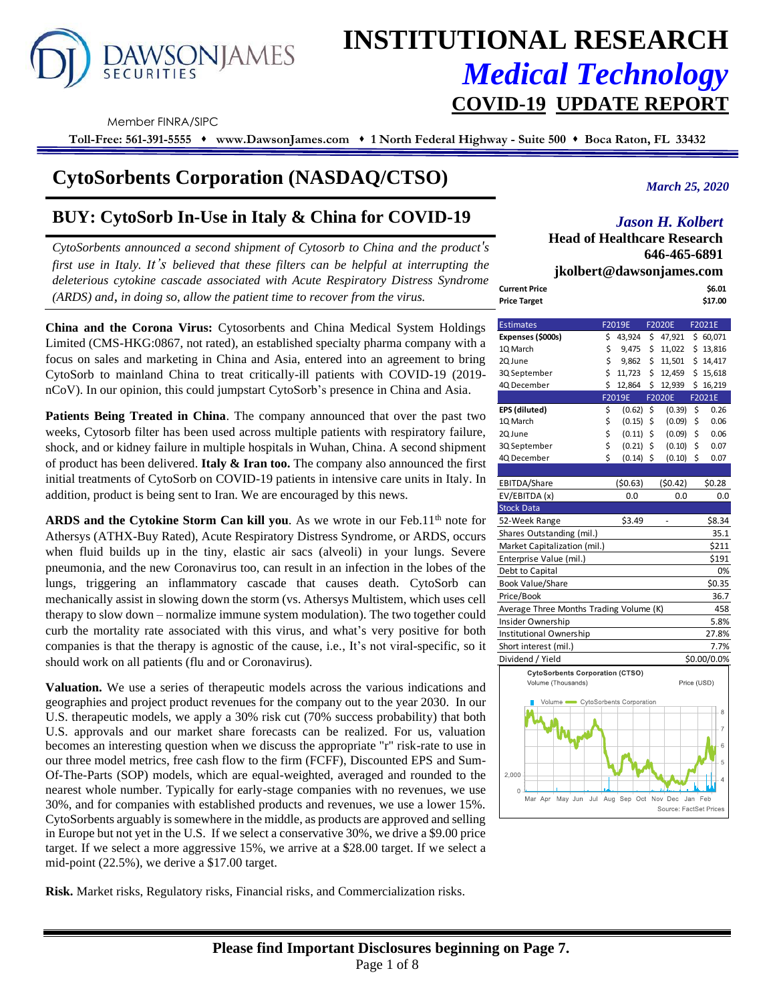

# **INSTITUTIONAL RESEARCH** *Medical Technology* **COVID-19 UPDATE REPORT**

Member FINRA/SIPC

**Toll-Free: 561-391-5555** ⬧ **www.DawsonJames.com** ⬧ **1 North Federal Highway - Suite 500** ⬧ **Boca Raton, FL 33432**

## **CytoSorbents Corporation (NASDAQ/CTSO)**

## **BUY: CytoSorb In-Use in Italy & China for COVID-19**

*CytoSorbents announced a second shipment of Cytosorb to China and the product's first use in Italy. It's believed that these filters can be helpful at interrupting the deleterious cytokine cascade associated with Acute Respiratory Distress Syndrome (ARDS) and, in doing so, allow the patient time to recover from the virus.*

**China and the Corona Virus:** Cytosorbents and China Medical System Holdings Limited (CMS-HKG:0867, not rated), an established specialty pharma company with a focus on sales and marketing in China and Asia, entered into an agreement to bring CytoSorb to mainland China to treat critically-ill patients with COVID-19 (2019 nCoV). In our opinion, this could jumpstart CytoSorb's presence in China and Asia.

**Patients Being Treated in China**. The company announced that over the past two weeks, Cytosorb filter has been used across multiple patients with respiratory failure, shock, and or kidney failure in multiple hospitals in Wuhan, China. A second shipment of product has been delivered. **Italy & Iran too.** The company also announced the first initial treatments of CytoSorb on COVID-19 patients in intensive care units in Italy. In addition, product is being sent to Iran. We are encouraged by this news.

**ARDS and the Cytokine Storm Can kill you.** As we wrote in our Feb.11<sup>th</sup> note for Athersys (ATHX-Buy Rated), Acute Respiratory Distress Syndrome, or ARDS, occurs when fluid builds up in the tiny, elastic air sacs (alveoli) in your lungs. Severe pneumonia, and the new Coronavirus too, can result in an infection in the lobes of the lungs, triggering an inflammatory cascade that causes death. CytoSorb can mechanically assist in slowing down the storm (vs. Athersys Multistem, which uses cell therapy to slow down – normalize immune system modulation). The two together could curb the mortality rate associated with this virus, and what's very positive for both companies is that the therapy is agnostic of the cause, i.e., It's not viral-specific, so it should work on all patients (flu and or Coronavirus).

**Valuation.** We use a series of therapeutic models across the various indications and geographies and project product revenues for the company out to the year 2030. In our U.S. therapeutic models, we apply a 30% risk cut (70% success probability) that both U.S. approvals and our market share forecasts can be realized. For us, valuation becomes an interesting question when we discuss the appropriate "r" risk-rate to use in our three model metrics, free cash flow to the firm (FCFF), Discounted EPS and Sum-Of-The-Parts (SOP) models, which are equal-weighted, averaged and rounded to the nearest whole number. Typically for early-stage companies with no revenues, we use 30%, and for companies with established products and revenues, we use a lower 15%. CytoSorbents arguably is somewhere in the middle, as products are approved and selling in Europe but not yet in the U.S. If we select a conservative 30%, we drive a \$9.00 price target. If we select a more aggressive 15%, we arrive at a \$28.00 target. If we select a mid-point (22.5%), we derive a \$17.00 target.

**Risk.** Market risks, Regulatory risks, Financial risks, and Commercialization risks.

*March 25, 2020*

## *Jason H. Kolbert*

**Head of Healthcare Research 646-465-6891 jkolbert@dawsonjames.com**

|                      | <b>ROLUCI L@ GAWSOII AIRES.COM</b> |
|----------------------|------------------------------------|
| <b>Current Price</b> | \$6.01                             |
| <b>Price Target</b>  | \$17.00                            |

| <b>Estimates</b>                        | F2019E       | <b>F2020E</b>          |         | F2021E      |
|-----------------------------------------|--------------|------------------------|---------|-------------|
| Expenses (\$000s)                       | \$<br>43,924 | \$<br>47,921           |         | \$60,071    |
| 1Q March                                | \$<br>9,475  | \$<br>11,022           |         | \$13,816    |
| 2Q June                                 | \$<br>9,862  | \$<br>11,501           |         | \$14,417    |
| 3Q September                            | \$<br>11,723 | \$<br>12,459           |         | \$15,618    |
| 4Q December                             | \$<br>12,864 | \$<br>12,939           |         | \$16,219    |
|                                         | F2019E       | F2020E                 |         | F2021E      |
| EPS (diluted)                           | \$<br>(0.62) | \$<br>(0.39)           | \$      | 0.26        |
| 1Q March                                | \$<br>(0.15) | \$<br>(0.09)           | \$      | 0.06        |
| 2Q June                                 | \$<br>(0.11) | \$<br>(0.09)           | \$      | 0.06        |
| 3Q September                            | \$<br>(0.21) | \$<br>(0.10)           | \$      | 0.07        |
| 4Q December                             | \$<br>(0.14) | \$<br>(0.10)           | \$      | 0.07        |
|                                         |              |                        |         |             |
| EBITDA/Share                            | (50.63)      | (50.42)                |         | \$0.28      |
| EV/EBITDA (x)                           | 0.0          | 0.0                    |         | 0.0         |
| <b>Stock Data</b>                       |              |                        |         |             |
| 52-Week Range                           | \$3.49       |                        |         | \$8.34      |
| Shares Outstanding (mil.)               |              |                        |         | 35.1        |
| Market Capitalization (mil.)            |              |                        |         | \$211       |
| Enterprise Value (mil.)                 |              |                        |         | \$191       |
| Debt to Capital                         |              |                        |         | 0%          |
| <b>Book Value/Share</b>                 |              |                        |         | \$0.35      |
| Price/Book                              |              |                        |         | 36.7        |
| Average Three Months Trading Volume (K) |              |                        |         | 458         |
| Insider Ownership                       |              |                        |         | 5.8%        |
| Institutional Ownership                 |              |                        |         | 27.8%       |
| Short interest (mil.)                   |              |                        |         | 7.7%        |
| Dividend / Yield                        |              |                        |         | \$0.00/0.0% |
| <b>CytoSorbents Corporation (CTSO)</b>  |              |                        |         |             |
| Volume (Thousands)                      |              |                        |         | Price (USD) |
| Volume CytoSorbents Corporation         |              |                        |         |             |
|                                         |              |                        |         | 8           |
|                                         |              |                        |         |             |
|                                         |              |                        |         | 7           |
|                                         |              |                        |         | 6           |
|                                         |              |                        |         | 5           |
| 2,000                                   |              |                        |         |             |
|                                         |              |                        |         |             |
| $\Omega$<br>Jul<br>Mar Apr<br>May Jun   | Aug Sep Oct  | Nov Dec                | Jan Feb |             |
|                                         |              | Source: FactSet Prices |         |             |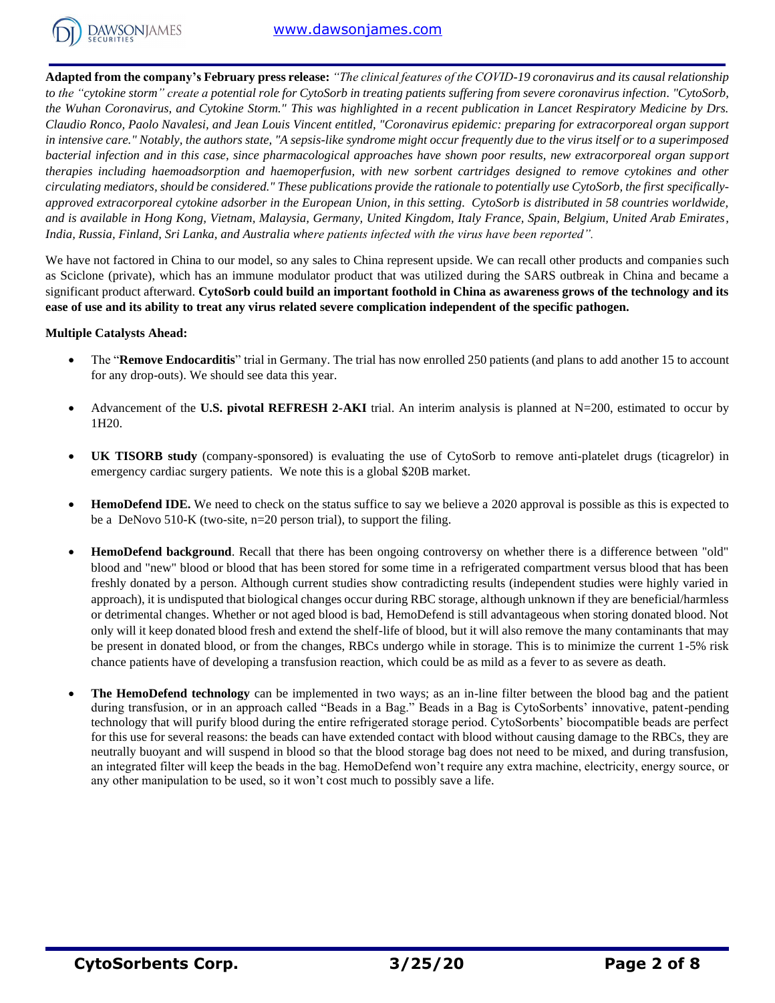

**Adapted from the company's February press release:** *"The clinical features of the COVID-19 coronavirus and its causal relationship to the "cytokine storm" create a potential role for CytoSorb in treating patients suffering from severe coronavirus infection. "CytoSorb, the Wuhan Coronavirus, and Cytokine Storm." This was highlighted in a recent publication in Lancet Respiratory Medicine by Drs. Claudio Ronco, Paolo Navalesi, and Jean Louis Vincent entitled, "Coronavirus epidemic: preparing for extracorporeal organ support in intensive care." Notably, the authors state, "A sepsis-like syndrome might occur frequently due to the virus itself or to a superimposed bacterial infection and in this case, since pharmacological approaches have shown poor results, new extracorporeal organ support therapies including haemoadsorption and haemoperfusion, with new sorbent cartridges designed to remove cytokines and other circulating mediators, should be considered." These publications provide the rationale to potentially use CytoSorb, the first specificallyapproved extracorporeal cytokine adsorber in the European Union, in this setting. CytoSorb is distributed in 58 countries worldwide, and is available in Hong Kong, Vietnam, Malaysia, Germany, United Kingdom, Italy France, Spain, Belgium, United Arab Emirates, India, Russia, Finland, Sri Lanka, and Australia where patients infected with the virus have been reported".*

We have not factored in China to our model, so any sales to China represent upside. We can recall other products and companies such as Sciclone (private), which has an immune modulator product that was utilized during the SARS outbreak in China and became a significant product afterward. **CytoSorb could build an important foothold in China as awareness grows of the technology and its ease of use and its ability to treat any virus related severe complication independent of the specific pathogen.**

### **Multiple Catalysts Ahead:**

- The "**Remove Endocarditis**" trial in Germany. The trial has now enrolled 250 patients (and plans to add another 15 to account for any drop-outs). We should see data this year.
- Advancement of the **U.S. pivotal REFRESH 2-AKI** trial. An interim analysis is planned at  $N=200$ , estimated to occur by 1H20.
- **UK TISORB study** (company-sponsored) is evaluating the use of CytoSorb to remove anti-platelet drugs (ticagrelor) in emergency cardiac surgery patients. We note this is a global \$20B market.
- **HemoDefend IDE.** We need to check on the status suffice to say we believe a 2020 approval is possible as this is expected to be a DeNovo 510-K (two-site, n=20 person trial), to support the filing.
- **HemoDefend background**. Recall that there has been ongoing controversy on whether there is a difference between "old" blood and "new" blood or blood that has been stored for some time in a refrigerated compartment versus blood that has been freshly donated by a person. Although current studies show contradicting results (independent studies were highly varied in approach), it is undisputed that biological changes occur during RBC storage, although unknown if they are beneficial/harmless or detrimental changes. Whether or not aged blood is bad, HemoDefend is still advantageous when storing donated blood. Not only will it keep donated blood fresh and extend the shelf-life of blood, but it will also remove the many contaminants that may be present in donated blood, or from the changes, RBCs undergo while in storage. This is to minimize the current 1-5% risk chance patients have of developing a transfusion reaction, which could be as mild as a fever to as severe as death.
- **The HemoDefend technology** can be implemented in two ways; as an in-line filter between the blood bag and the patient during transfusion, or in an approach called "Beads in a Bag." Beads in a Bag is CytoSorbents' innovative, patent-pending technology that will purify blood during the entire refrigerated storage period. CytoSorbents' biocompatible beads are perfect for this use for several reasons: the beads can have extended contact with blood without causing damage to the RBCs, they are neutrally buoyant and will suspend in blood so that the blood storage bag does not need to be mixed, and during transfusion, an integrated filter will keep the beads in the bag. HemoDefend won't require any extra machine, electricity, energy source, or any other manipulation to be used, so it won't cost much to possibly save a life.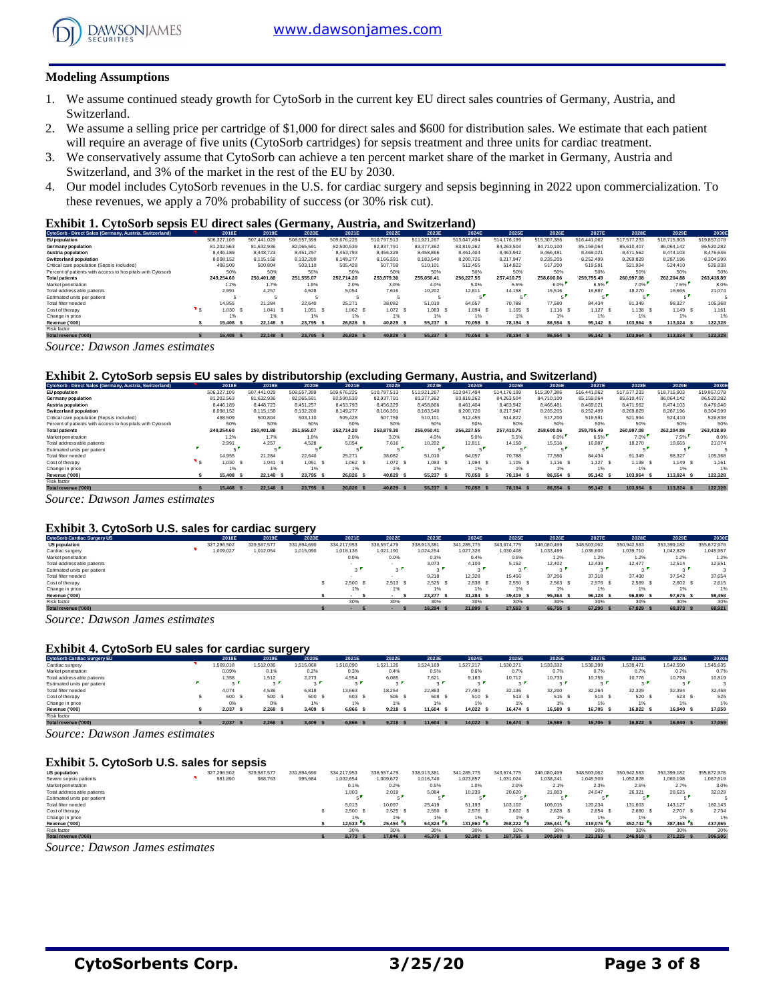

#### **Modeling Assumptions**

- 1. We assume continued steady growth for CytoSorb in the current key EU direct sales countries of Germany, Austria, and Switzerland.
- 2. We assume a selling price per cartridge of \$1,000 for direct sales and \$600 for distribution sales. We estimate that each patient will require an average of five units (CytoSorb cartridges) for sepsis treatment and three units for cardiac treatment.
- 3. We conservatively assume that CytoSorb can achieve a ten percent market share of the market in Germany, Austria and Switzerland, and 3% of the market in the rest of the EU by 2030.
- 4. Our model includes CytoSorb revenues in the U.S. for cardiac surgery and sepsis beginning in 2022 upon commercialization. To these revenues, we apply a 70% probability of success (or 30% risk cut).

#### **Exhibit 1. CytoSorb sepsis EU direct sales (Germany, Austria, and Switzerland)**

| CytoSorb - Direct Sales (Germany, Austria, Switzerland),   | 2018E         | 2019E       | 2020E       | 2021E           | 2022E                              | 2023E       | 2024E       | 2025E       | 2026E       | 2027E       | 2028E       | 2029E                              | 2030E       |
|------------------------------------------------------------|---------------|-------------|-------------|-----------------|------------------------------------|-------------|-------------|-------------|-------------|-------------|-------------|------------------------------------|-------------|
| <b>EU</b> population                                       | 506.327.109   | 507.441.029 | 508,557,399 | 509.676.225     | 510.797.513                        | 511.921.267 | 513.047.494 | 514.176.199 | 515.307.386 | 516.441.062 | 517.577.233 | 518,715,903                        | 519,857,078 |
| Germany population                                         | 81.202.563    | 81.632.936  | 82.065.591  | 82,500,539      | 82.937.791                         | 83.377.362  | 83.819.262  | 84.263.504  | 84.710.100  | 85.159.064  | 85.610.407  | 86.064.142                         | 86,520,282  |
| Austria population                                         | 8.446.189     | 8,448.723   | 8.451.257   | 8.453.793       | 8.456.329                          | 8.458.866   | 8.461.404   | 8.463.942   | 8.466.481   | 8.469.021   | 8.471.562   | 8.474.103                          | 8,476,646   |
| <b>Switzerland population</b>                              | 8.098.152     | 8.115.158   | 8.132.200   | 8.149.277       | 8.166.391                          | 8.183.540   | 8.200.726   | 8.217.947   | 8.235.205   | 8.252.499   | 8.269.829   | 8.287.196                          | 8.304.599   |
| Critical care population (Sepsis included)                 | 498,509       | 500.804     | 503.110     | 505.428         | 507,759                            | 510,101     | 512.455     | 514.822     | 517.200     | 519.591     | 521.994     | 524.410                            | 526.838     |
| Percent of patients with access to hospitals with Cytosorb | 50%           | 50%         | 50%         | 50%             | 50%                                | 50%         | 50%         | 50%         | 50%         | 50%         | 50%         | 50%                                | 50%         |
| <b>Total patients</b>                                      | 249.254.60    | 250,401.88  | 251.555.07  | 252.714.20      | 253.879.30                         | 255.050.41  | 256.227.55  | 257,410.75  | 258,600,06  | 259.795.49  | 260.997.08  | 262.204.88                         | 263,418.89  |
| Market penetration                                         | 1.2%          | 1.7%        | 1.8%        | 2.0%            | 3.0%                               | 4.0%        | 5.0%        | 5.5%        | 6.0%        | 6.5%        | 7.0%        | 7.5%                               | 8.0%        |
| Total addressable patients                                 | 2.991         | 4.257       | 4.528       | 5.054           | 7.616                              | 10.202      | 12.811      | 14.158      | 15.516      | 16.887      | 18.270      | 19.665                             | 21.074      |
| Estimated units per patient                                |               |             |             |                 |                                    |             |             |             |             | - 1         |             |                                    |             |
| Total filter needed                                        | 14.955        | 21.284      | 22.640      | 25.271          | 38,082                             | 51,010      | 64.057      | 70.788      | 77,580      | 84.434      | 91.349      | 98.327                             | 105,368     |
| Cost of therapy                                            | 1.030         | 1.041 S     | 1.051       | 1.062 S         | $1,072$ \$                         | 1.083       | $1.094$ S   | 1.105 S     | $1.116$ S   | $1,127$ \$  | 1.138 S     | 1.149 S                            | 1.161       |
| Change in price                                            | 1%            | 1%          | 1%          | 1%              | 1%                                 |             |             | 1%          | 1%          | 1%          | 1%          | 1%                                 | 1%          |
| Revenue ('000)                                             | 15,408<br>- 5 | 22.148 \$   | 23.795      | 26.826 S<br>- 5 | 40.829                             | 55.237      | 70,058      | 78.194 S    | 86,554 \$   | 95.142 \$   | 103.964 S   | 113.024 \$                         | 122,328     |
| Risk factor                                                |               |             |             |                 |                                    |             |             |             |             |             |             |                                    |             |
| <b>Contract Contract</b><br>___                            |               |             |             | . <b>.</b>      | <b><i><u>ALCOHOL: 1999</u></i></b> | _____       |             |             |             |             |             | <b><i><u>ALCOHOL: 1999</u></i></b> |             |

7otalrevenue ('000) \$ 15,408 \$ 22,148 \$ 23,795 \$ 26,826 \$ 40,829 \$ 55,237 \$ 70,058 \$ 78,194 \$ 86,554 \$ 95,142 \$ 103,964 \$ 113,024 \$ 122,328

*Source: Dawson James estimates*

#### **Exhibit 2. CytoSorb sepsis EU sales by distributorship (excluding Germany, Austria, and Switzerland)**

|                                                            |             |             |               |             | --          |             |             |             |             |             |             |             |             |
|------------------------------------------------------------|-------------|-------------|---------------|-------------|-------------|-------------|-------------|-------------|-------------|-------------|-------------|-------------|-------------|
| CytoSorb - Direct Sales (Germany, Austria, Switzerland)    | 2018E       | 2019E       | 2020E         | 2021E       | 2022E       | 2023E       | 2024E       | 2025E       | 2026E       | 2027E       | 2028E       | 2029E       | 2030E       |
| EU population                                              | 506,327,109 | 507.441.029 | 508,557,399   | 509.676.225 | 510.797.513 | 511.921.267 | 513.047.494 | 514.176.199 | 515,307,386 | 516.441.062 | 517.577.233 | 518,715,903 | 519,857,078 |
| Germany population                                         | 81.202.563  | 81.632.936  | 82.065.591    | 82,500,539  | 82.937.791  | 83.377.362  | 83.819.262  | 84.263.504  | 84.710.100  | 85.159.064  | 85.610.407  | 86.064.142  | 86,520,282  |
| Austria population                                         | 8,446.189   | 8.448.723   | 8.451.257     | 8.453.793   | 8.456.329   | 8.458.866   | 8.461.404   | 8.463.942   | 8.466.481   | 8.469.021   | 8.471.562   | 8.474.103   | 8.476.646   |
| <b>Switzerland population</b>                              | 8.098.152   | 8.115.158   | 8.132.200     | 8.149.277   | 8.166.391   | 8.183.540   | 8,200,726   | 8.217.947   | 8.235.205   | 8.252.499   | 8.269.829   | 8.287.196   | 8.304.599   |
| Critical care population (Sepsis included)                 | 498,509     | 500,804     | 503.110       | 505.428     | 507.759     | 510,101     | 512.455     | 514.822     | 517,200     | 519,591     | 521,994     | 524.410     | 526,838     |
| Percent of patients with access to hospitals with Cytosorb | 50%         | 50%         | 50%           | 50%         | 50%         | 50%         | 50%         | 50%         | 50%         | 50%         | 50%         | 50%         | 50%         |
| <b>Total patients</b>                                      | 249.254.60  | 250.401.88  | 251.555.07    | 252.714.20  | 253,879.30  | 255.050.41  | 256,227.55  | 257,410.75  | 258,600,06  | 259,795,49  | 260.997.08  | 262.204.88  | 263,418.89  |
| Market penetration                                         | 1.2%        | 1.7%        | 1.8%          | 2.0%        | 3.0%        | 4.0%        | 5.0%        | 5.5%        | 6.0%        | 6.5%        | 7.0%        | 7.5%        | 8.0%        |
| Total addressable patients                                 | 2.991       | 4.257       | 4.528         | 5.054       | 7.616       | 10.202      | 12.811      | 14.158      | 15.516      | 16,887      | 18.270      | 19.665      | 21.074      |
| Estimated units per patient                                |             |             |               |             |             |             |             |             |             |             |             |             |             |
| Total filter needed                                        | 14,955      | 21.284      | 22.640        | 25.271      | 38,082      | 51.010      | 64.057      | 70.788      | 77,580      | 84.434      | 91.349      | 98.327      | 105,368     |
| Cost of therapy                                            | 1.030       | 1.041 S     | 1.051<br>- \$ | 1.062 S     | 1.072       | $1.083$ \$  | 1.094       | $1,105$ \$  | $1.116$ S   | 1.127 S     | 1.138 S     | 1.149 S     | 1.161       |
| Change in price                                            | 1%          | 1%          | 1%            | 1%          | 1%          | 1%          | 1%          |             | 1%          | 1%          | 1%          | 1%          | 1%          |
| Revenue ('000)                                             | 15,408      | 22.148 \$   | 23,795<br>- 5 | 26,826      | 40.829      | 55.237      | 70,058      | 78.194 S    | 86,554      | 95.142 \$   | 103.964     | 113.024 \$  | 122,328     |
| Risk factor                                                |             |             |               |             |             |             |             |             |             |             |             |             |             |
| Total revenue ('000)                                       | 15,408      | 22.148 \$   | 23.795 \$     | 26.826 S    | 40,829      | 55,237      | 70.058      | 78.194 S    | 86.554 \$   | 95.142 \$   | 103.964 S   | 113.024 \$  | 122.328     |

*Source: Dawson James estimates*

#### **Exhibit 3. CytoSorb U.S. sales for cardiac surgery**

| Exhibit 3. CytoSorb U.S. sales for cardiac surgery |  |             |             |             |             |             |             |             |             |             |             |             |             |             |
|----------------------------------------------------|--|-------------|-------------|-------------|-------------|-------------|-------------|-------------|-------------|-------------|-------------|-------------|-------------|-------------|
| <b>CytoSorb Cardiac Surgery US</b>                 |  | 2018E       | 2019E       | 2020E       | 2021E       | 2022E       | 2023E       | 2024E       | 2025E       | 2026E       | 2027E       | 2028E       | 2029E       | 2030E       |
| <b>US population</b>                               |  | 327.296.502 | 329.587.577 | 331.894.690 | 334.217.953 | 336.557.479 | 338.913.381 | 341.285.775 | 343.674.775 | 346.080.499 | 348,503,062 | 350.942.583 | 353.399.182 | 355,872,976 |
| Cardiac surgery                                    |  | 1,009,027   | 1,012,054   | 1,015,090   | 1,018,136   | 1.021.190   | 1.024.254   | 1,027,326   | 1.030.408   | 1,033,499   | 1,036,600   | 1,039,710   | 1.042.829   | 1.045.957   |
| Market penetration                                 |  |             |             |             | 0.0%        | 0.0%        | 0.3%        | 0.4%        | 0.5%        | 1.2%        | 1.2%        | 1.2%        | 1.2%        | 1.2%        |
| Total addressable patients                         |  |             |             |             |             |             | 3.073       | 4.109       | 5.152       | 12,402      | 12,439      | 12,477      | 12.514      | 12,551      |
| Estimated units per patient                        |  |             |             |             |             | $3^{\circ}$ | $\sim$      |             |             | $\sim$      | $\sim$      |             | $\sim$      |             |
| Total filter needed                                |  |             |             |             |             |             | 9.218       | 12.328      | 15.456      | 37.206      | 37,318      | 37,430      | 37.542      | 37.654      |
| Cost of therapy                                    |  |             |             |             | 2.500       | 2.513       | 2.525       | 2.538 \$    | 2.550 S     | 2.563S      | 2.576 S     | 2.589 S     | 2.602 S     | 2.615       |
| Change in price                                    |  |             |             |             | 1%          | 1%          | 1%          | 1%          | 1%          | 1%          | 1%          | 1%          | 1%          | 1%          |
| Revenue ('000)                                     |  |             |             |             |             |             | 23.277 \$   | 31.284 S    | 39.419 S    | 95.364 \$   | 96.128 \$   | 96.899 S    | 97.675 \$   | 98,458      |
| Risk factor                                        |  |             |             |             | 30%         | 30%         | 30%         | 30%         | 30%         | 30%         | 30%         | 30%         | 30%         | 30%         |
| Total revenue ('000)                               |  |             |             |             |             |             | 16.294 \$   | 21,899 \$   | 27.593 S    | 66.755 \$   | 67.290 \$   | 67,829 \$   | 68,373 \$   | 68,921      |

*Source: Dawson James estimates*

#### **Exhibit 4. CytoSorb EU sales for cardiac surgery**

| <b>Exhibit 4. CytoSorb EU sales for cardiac surgery</b> |                       |           |           |           |             |           |           |                                         |                          |           |           |                                    |                          |
|---------------------------------------------------------|-----------------------|-----------|-----------|-----------|-------------|-----------|-----------|-----------------------------------------|--------------------------|-----------|-----------|------------------------------------|--------------------------|
| <b>CytoSorb Cardiac Surgery EU</b>                      | 2018E                 | 2019E     | 2020E     | 2021E     | 2022E       | 2023E     | 2024E     | 2025E                                   | 2026E                    | 2027E     | 2028E     | 2029E                              | 2030E                    |
| Cardiac surgery                                         | .509,018              | 1,512,036 | 1,515,060 | 1.518.090 | 1.521.126   | 1.524.169 | 1,527,217 | 1.530.271                               | 1,533,332                | 1,536,399 | 1.539.471 | 1.542.550                          | 1,545,635                |
| Market penetration                                      | 0.09%                 | 0.1%      | 0.2%      | 0.3%      | 0.4%        | 0.5%      | 0.6%      | 0.7%                                    | 0.7%                     | 0.7%      | 0.7%      | 0.7%                               | 0.7%                     |
| Total addressable patients                              | 1,358                 | 1,512     | 2,273     | 4.554     | 6.085       | 7.621     | 9.163     | 10.712                                  | 10.733                   | 10.755    | 10.776    | 10.798                             | 10,819                   |
| Estimated units per patient                             | $\sim$ $\blacksquare$ | $\sim$    |           |           | $3^{\circ}$ | $\sim$    | $\sim$    |                                         | $\sim$                   | $\sim$    |           | $\sim$                             |                          |
| Total filter needed                                     | 4.074                 | 4.536     | 6.818     | 13.663    | 18.254      | 22.863    | 27,490    | 32.136                                  | 32,200                   | 32.264    | 32.329    | 32.394                             | 32.458                   |
| Cost of therapy                                         | 500 S                 | 500 \$    | 500 S     | 503 S     | 505 \$      | 508       | 510 S     | 513 S                                   | 515 S                    | 518 S     | 520       | 523 \$                             | 526                      |
| Change in price                                         | 0%                    | 0%        | 1%        | 1%        | 1%          | 1%        |           | 1%                                      | 1%                       | 1%        | 1%        | 1%                                 | 1%                       |
| Revenue ('000)                                          | 2.037                 | 2.268S    | 3.409     | 6.866 S   | 9.218       | 11.604    | 14.022 \$ | 16.474 S                                | 16.589 \$                | 16.705    | 16.822 S  | 16,940<br>- \$                     | 17,059                   |
| Risk factor                                             |                       |           |           |           |             |           |           |                                         |                          |           |           |                                    |                          |
| __<br><b>Contract Contract Contract</b>                 |                       |           | .         |           | $\cdots$    | .         |           | the company of the state of the company | <b><i>CONTRACTOR</i></b> |           |           | <b><i><u>ALCOHOL: 1999</u></i></b> | <b>STATE OF BUILDING</b> |

10talrevenue ('000) \$ 2,037 \$ 2,268 \$ 3,409 \$ 6,866 \$ 9,218 \$ 11,604 \$ 16,422 \$ 16,474 \$ 16,599 \$ 16,705 \$ 16,822 \$ 16,940 \$ 17,059

*Source: Dawson James estimates*

#### **Exhibit 5. CytoSorb U.S. sales for sepsis**

| Exhibit 5. CytoSorb U.S. sales for sepsis |             |             |             |             |             |             |             |             |             |             |             |             |             |
|-------------------------------------------|-------------|-------------|-------------|-------------|-------------|-------------|-------------|-------------|-------------|-------------|-------------|-------------|-------------|
| <b>US population</b>                      | 327.296.502 | 329,587,577 | 331.894.690 | 334.217.953 | 336.557.479 | 338.913.381 | 341.285.775 | 343.674.775 | 346,080,499 | 348.503.062 | 350.942.583 | 353.399.182 | 355,872,976 |
| Severe sepsis patients                    | 981,890     | 988,763     | 995,684     | 1.002.654   | 1,009,672   | 1.016.740   | 1,023,857   | 1.031.024   | 1.038.241   | 1,045,509   | 1,052,828   | 1,060,198   | 1.067.619   |
| Market penetration                        |             |             |             | 0.1%        | 0.2%        | 0.5%        | 1.0%        | 2.0%        | 2.1%        | 2.3%        | 2.5%        | 2.7%        | 3.0%        |
| Total addressable patients                |             |             |             | 1.003       | 2.019       | 5.084       | 10.239      | 20,620      | 21,803      | 24.047      | 26,321      | 28.625      | 32.029      |
| Estimated units per patient               |             |             |             |             | -           | - 1         |             |             |             | $\sim$ 1    |             |             |             |
| Total filter needed                       |             |             |             | 5.013       | 10.097      | 25.419      | 51.193      | 103.102     | 109,015     | 120.234     | 131.603     | 143.127     | 160.143     |
| Cost of therapy                           |             |             |             | 2,500 S     | 2.525       | $2,550$ \$  | 2.576S      | 2.602 S     | 2.628 S     | 2.654 S     | 2.680S      | 2.707 \$    | 2.734       |
| Change in price                           |             |             |             |             | 1%          | 1%          |             | 1%          | 1%          | 1%          | 1%          |             | 1%          |
| Revenue ('000)                            |             |             |             | $12.533$ S  | 25.494 S    | 64.824 S    | 131.860     | 268.222 S   | 286,441 S   | 319,076 S   | 352.742 S   | 387.464 S   | 437,865     |
| Risk factor                               |             |             |             | 30%         | 30%         | 30%         | 30%         | 30%         | 30%         | 30%         | 30%         | 30%         | 30%         |
| Total revenue ('000)                      |             |             |             | 8,773       | 17,846      | 45.376 \$   | 92,302      | 187,755 \$  | 200,508 \$  | 223.353     | 246,919 S   | 271.225 \$  | 306.505     |

*Source: Dawson James estimates*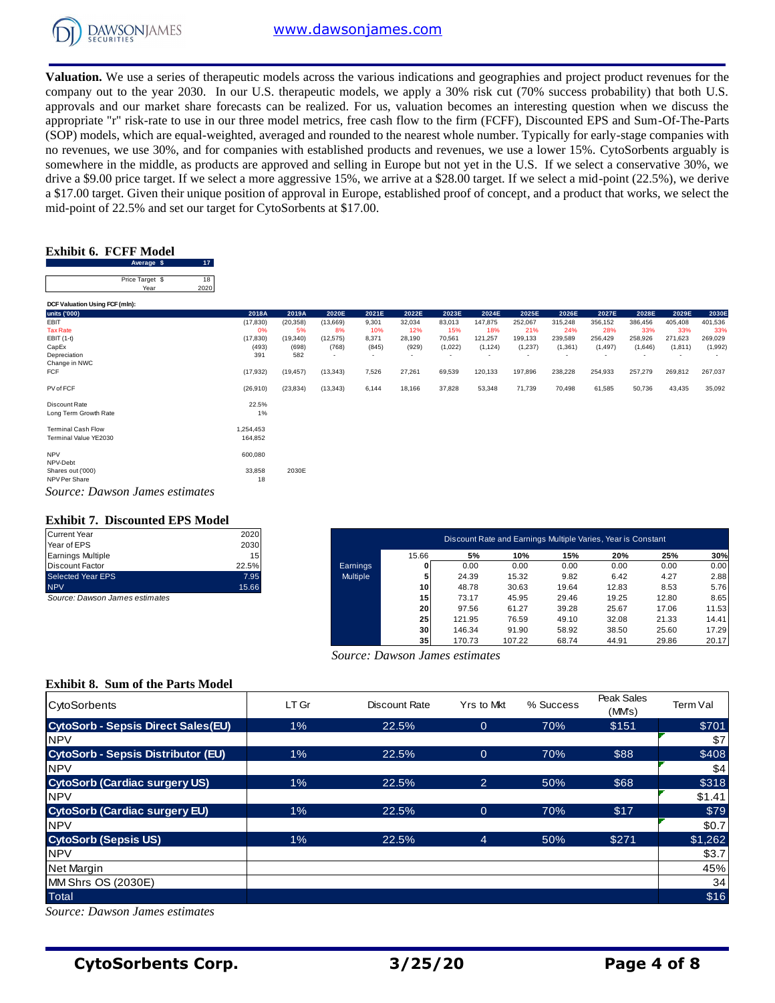

**Valuation.** We use a series of therapeutic models across the various indications and geographies and project product revenues for the company out to the year 2030. In our U.S. therapeutic models, we apply a 30% risk cut (70% success probability) that both U.S. approvals and our market share forecasts can be realized. For us, valuation becomes an interesting question when we discuss the appropriate "r" risk-rate to use in our three model metrics, free cash flow to the firm (FCFF), Discounted EPS and Sum-Of-The-Parts (SOP) models, which are equal-weighted, averaged and rounded to the nearest whole number. Typically for early-stage companies with no revenues, we use 30%, and for companies with established products and revenues, we use a lower 15%. CytoSorbents arguably is somewhere in the middle, as products are approved and selling in Europe but not yet in the U.S. If we select a conservative 30%, we drive a \$9.00 price target. If we select a more aggressive 15%, we arrive at a \$28.00 target. If we select a mid-point (22.5%), we derive a \$17.00 target. Given their unique position of approval in Europe, established proof of concept, and a product that works, we select the mid-point of 22.5% and set our target for CytoSorbents at \$17.00.

## **Exhibit 6. FCFF Model**

| .                     |                         |            |
|-----------------------|-------------------------|------------|
| Exhibit 6. FCFF Model |                         |            |
|                       | Average \$              |            |
|                       | Price Target \$<br>Year | 18<br>2020 |

| Average \$                     | - 17      |           |                          |       |                          |         |                          |                          |         |          |         |                          |         |
|--------------------------------|-----------|-----------|--------------------------|-------|--------------------------|---------|--------------------------|--------------------------|---------|----------|---------|--------------------------|---------|
| Price Target \$                | 18        |           |                          |       |                          |         |                          |                          |         |          |         |                          |         |
| 2020<br>Year                   |           |           |                          |       |                          |         |                          |                          |         |          |         |                          |         |
| DCF Valuation Using FCF (mln): |           |           |                          |       |                          |         |                          |                          |         |          |         |                          |         |
| units ('000)                   | 2018A     | 2019A     | 2020E                    | 2021E | 2022E                    | 2023E   | 2024E                    | 2025E                    | 2026E   | 2027E    | 2028E   | 2029E                    | 2030E   |
| EBIT                           | (17, 830) | (20, 358) | (13,669)                 | 9,301 | 32,034                   | 83,013  | 147,875                  | 252,067                  | 315,248 | 356,152  | 386,456 | 405,408                  | 401,536 |
| <b>Tax Rate</b>                | 0%        | 5%        | 8%                       | 10%   | 12%                      | 15%     | 18%                      | 21%                      | 24%     | 28%      | 33%     | 33%                      | 33%     |
| EBIT (1-t)                     | (17, 830) | (19, 340) | (12, 575)                | 8,371 | 28,190                   | 70,561  | 121,257                  | 199,133                  | 239,589 | 256,429  | 258,926 | 271,623                  | 269,029 |
| CapEx                          | (493)     | (698)     | (768)                    | (845) | (929)                    | (1,022) | (1, 124)                 | (1,237)                  | (1,361) | (1, 497) | (1,646) | (1, 811)                 | (1,992) |
| Depreciation                   | 391       | 582       | $\overline{\phantom{a}}$ |       | $\overline{\phantom{a}}$ |         | $\overline{\phantom{a}}$ | $\overline{\phantom{a}}$ | . .     |          |         | $\overline{\phantom{a}}$ |         |
| Change in NWC                  |           |           |                          |       |                          |         |                          |                          |         |          |         |                          |         |
| FCF                            | (17, 932) | (19, 457) | (13, 343)                | 7,526 | 27,261                   | 69,539  | 120,133                  | 197,896                  | 238,228 | 254,933  | 257,279 | 269,812                  | 267,037 |
| PV of FCF                      | (26, 910) | (23, 834) | (13, 343)                | 6,144 | 18,166                   | 37,828  | 53,348                   | 71,739                   | 70,498  | 61,585   | 50,736  | 43,435                   | 35,092  |
| Discount Rate                  | 22.5%     |           |                          |       |                          |         |                          |                          |         |          |         |                          |         |
| Long Term Growth Rate          | $1\%$     |           |                          |       |                          |         |                          |                          |         |          |         |                          |         |
| <b>Terminal Cash Flow</b>      | 1,254,453 |           |                          |       |                          |         |                          |                          |         |          |         |                          |         |
| Terminal Value YE2030          | 164,852   |           |                          |       |                          |         |                          |                          |         |          |         |                          |         |
|                                |           |           |                          |       |                          |         |                          |                          |         |          |         |                          |         |
| <b>NPV</b><br>NPV-Debt         | 600,080   |           |                          |       |                          |         |                          |                          |         |          |         |                          |         |
| Shares out ('000)              | 33,858    | 2030E     |                          |       |                          |         |                          |                          |         |          |         |                          |         |
| NPV Per Share                  | 18        |           |                          |       |                          |         |                          |                          |         |          |         |                          |         |
| Source: Dawson James estimates |           |           |                          |       |                          |         |                          |                          |         |          |         |                          |         |

### **Exhibit 7. Discounted EPS Model**

| <b>Current Year</b>      | 2020            |
|--------------------------|-----------------|
| Year of EPS              | 2030            |
| <b>Earnings Multiple</b> | 15 <sub>1</sub> |
| <b>Discount Factor</b>   | 22.5%           |
| Selected Year EPS        | 7.95            |
| <b>NPV</b>               | 15.66           |

| <b>Exhibit 7. Discounted EPS Model</b><br>Current Year | 2020  |                 |                 |        |                                                              |       |       |       |       |
|--------------------------------------------------------|-------|-----------------|-----------------|--------|--------------------------------------------------------------|-------|-------|-------|-------|
| Year of EPS                                            | 2030  |                 |                 |        | Discount Rate and Earnings Multiple Varies, Year is Constant |       |       |       |       |
| Earnings Multiple                                      | 15    |                 | 15.66           | 5%     | 10%                                                          | 15%   | 20%   | 25%   | 30%   |
| Discount Factor                                        | 22.5% | Earnings        |                 | 0.00   | 0.00                                                         | 0.00  | 0.00  | 0.00  | 0.00  |
| Selected Year EPS                                      | 7.95  | <b>Multiple</b> |                 | 24.39  | 15.32                                                        | 9.82  | 6.42  | 4.27  | 2.88  |
| <b>NPV</b>                                             | 15.66 |                 | 10 <sup>1</sup> | 48.78  | 30.63                                                        | 19.64 | 12.83 | 8.53  | 5.76  |
| Source: Dawson James estimates                         |       |                 | 15              | 73.17  | 45.95                                                        | 29.46 | 19.25 | 12.80 | 8.65  |
|                                                        |       |                 | 20              | 97.56  | 61.27                                                        | 39.28 | 25.67 | 17.06 | 11.53 |
|                                                        |       |                 | 25              | 121.95 | 76.59                                                        | 49.10 | 32.08 | 21.33 | 14.41 |
|                                                        |       |                 | 30 <sub>1</sub> | 146.34 | 91.90                                                        | 58.92 | 38.50 | 25.60 | 17.29 |
|                                                        |       |                 | 35 <sub>1</sub> | 170.73 | 107.22                                                       | 68.74 | 44.91 | 29.86 | 20.17 |

## **Exhibit 8. Sum of the Parts Model**

| <b>Exhibit 6. FCFF Model</b><br>Average \$<br>17        |                      |                    |                    |                |                                      |                          |                          |                          |                                                              |                          |                    |                     |                    |
|---------------------------------------------------------|----------------------|--------------------|--------------------|----------------|--------------------------------------|--------------------------|--------------------------|--------------------------|--------------------------------------------------------------|--------------------------|--------------------|---------------------|--------------------|
| 18<br>Price Target \$<br>2020<br>Year                   |                      |                    |                    |                |                                      |                          |                          |                          |                                                              |                          |                    |                     |                    |
| DCF Valuation Using FCF (mln):                          |                      |                    |                    |                |                                      |                          |                          |                          |                                                              |                          |                    |                     |                    |
| units ('000)<br>EBIT                                    | 2018A<br>(17, 830)   | 2019A<br>(20, 358) | 2020E<br>(13,669)  | 2021E<br>9,301 | 2022E<br>32,034                      | 2023E<br>83,013          | 2024E<br>147,875         | 2025E<br>252,067         | 2026E<br>315,248                                             | 2027E<br>356,152         | 2028E<br>386,456   | 2029E<br>405,408    | 2030E<br>401,536   |
| <b>Tax Rate</b>                                         | 0%                   | 5%                 | 8%                 | 10%            | 12%                                  | 15%                      | 18%                      | 21%                      | 24%                                                          | 28%                      | 33%                | 33%                 | 33%                |
| EBIT (1-t)<br>CapEx                                     | (17, 830)<br>(493)   | (19, 340)<br>(698) | (12, 575)<br>(768) | 8,371<br>(845) | 28,190<br>(929)                      | 70,561<br>(1,022)        | 121,257<br>(1, 124)      | 199,133<br>(1, 237)      | 239,589<br>(1, 361)                                          | 256,429<br>(1, 497)      | 258,926<br>(1,646) | 271,623<br>(1, 811) | 269,029<br>(1,992) |
| Depreciation<br>Change in NWC                           | 391                  | 582                |                    |                | $\overline{\phantom{a}}$             | $\overline{\phantom{a}}$ | $\overline{\phantom{a}}$ | $\overline{\phantom{a}}$ |                                                              | $\overline{\phantom{a}}$ |                    |                     |                    |
| FCF                                                     | (17, 932)            | (19, 457)          | (13, 343)          | 7,526          | 27,261                               | 69,539                   | 120,133                  | 197,896                  | 238,228                                                      | 254,933                  | 257,279            | 269,812             | 267,037            |
| PV of FCF                                               | (26, 910)            | (23, 834)          | (13, 343)          | 6,144          | 18,166                               | 37,828                   | 53,348                   | 71,739                   | 70,498                                                       | 61,585                   | 50,736             | 43,435              | 35,092             |
| Discount Rate<br>Long Term Growth Rate                  | 22.5%<br>1%          |                    |                    |                |                                      |                          |                          |                          |                                                              |                          |                    |                     |                    |
| <b>Terminal Cash Flow</b><br>Terminal Value YE2030      | 1,254,453<br>164,852 |                    |                    |                |                                      |                          |                          |                          |                                                              |                          |                    |                     |                    |
| <b>NPV</b><br>NPV-Debt                                  | 600,080              |                    |                    |                |                                      |                          |                          |                          |                                                              |                          |                    |                     |                    |
| Shares out ('000)<br>NPV Per Share                      | 33,858<br>18         | 2030E              |                    |                |                                      |                          |                          |                          |                                                              |                          |                    |                     |                    |
| Source: Dawson James estimates                          |                      |                    |                    |                |                                      |                          |                          |                          |                                                              |                          |                    |                     |                    |
| <b>Exhibit 7. Discounted EPS Model</b>                  |                      |                    |                    |                |                                      |                          |                          |                          |                                                              |                          |                    |                     |                    |
| <b>Current Year</b>                                     | 2020                 |                    |                    |                |                                      |                          |                          |                          | Discount Rate and Earnings Multiple Varies, Year is Constant |                          |                    |                     |                    |
| Year of EPS                                             | 2030                 |                    |                    |                |                                      |                          |                          |                          |                                                              |                          |                    |                     |                    |
| <b>Earnings Multiple</b><br><b>Discount Factor</b>      | 15<br>22.5%          |                    |                    | Earnings       | 15.66<br>0                           |                          | 5%<br>0.00               | 10%<br>0.00              | 15%<br>0.00                                                  | 20%<br>0.00              |                    | 25%<br>0.00         | 30%<br>0.00        |
| Selected Year EPS                                       | 7.95                 |                    |                    | Multiple       | 5                                    |                          | 24.39                    | 15.32                    | 9.82                                                         | 6.42                     |                    | 4.27                | 2.88               |
| <b>NPV</b>                                              | 15.66                |                    |                    |                | 10                                   |                          | 48.78                    | 30.63                    | 19.64                                                        | 12.83                    |                    | 8.53                | 5.76               |
| Source: Dawson James estimates                          |                      |                    |                    |                | 15<br>20                             |                          | 73.17<br>97.56           | 45.95<br>61.27           | 29.46<br>39.28                                               | 19.25<br>25.67           |                    | 12.80<br>17.06      | 8.65<br>11.53      |
|                                                         |                      |                    |                    |                | 25                                   | 121.95                   |                          | 76.59                    | 49.10                                                        | 32.08                    |                    | 21.33               | 14.41              |
|                                                         |                      |                    |                    |                | 30                                   | 146.34                   |                          | 91.90                    | 58.92                                                        | 38.50                    |                    | 25.60               | 17.29              |
|                                                         |                      |                    |                    |                | 35<br>Source: Dawson James estimates | 170.73                   |                          | 107.22                   | 68.74                                                        | 44.91                    |                    | 29.86               | 20.17              |
|                                                         |                      |                    |                    |                |                                      |                          |                          |                          |                                                              |                          |                    |                     |                    |
| <b>Exhibit 8. Sum of the Parts Model</b>                |                      |                    |                    |                |                                      |                          |                          |                          |                                                              |                          | Peak Sales         |                     |                    |
| CytoSorbents                                            |                      | LT Gr              |                    |                | <b>Discount Rate</b>                 |                          | Yrs to Mkt               |                          | % Success                                                    |                          | (MMs)              | Term Val            |                    |
| <b>CytoSorb - Sepsis Direct Sales(EU)</b><br><b>NPV</b> |                      | 1%                 |                    |                | 22.5%                                |                          | $\mathbf{0}$             |                          | 70%                                                          | \$151                    |                    |                     | \$701<br>\$7       |
| <b>CytoSorb - Sepsis Distributor (EU)</b>               |                      | 1%                 |                    |                | 22.5%                                |                          | $\overline{0}$           |                          | 70%                                                          |                          | \$88               |                     | \$408              |
| <b>NPV</b>                                              |                      |                    |                    |                |                                      |                          |                          |                          |                                                              |                          |                    |                     | \$4                |
| <b>CytoSorb (Cardiac surgery US)</b>                    |                      | $1\%$              |                    |                | 22.5%                                |                          | $\overline{2}$           |                          | 50%                                                          |                          | \$68               |                     | \$318              |
| <b>NPV</b>                                              |                      |                    |                    |                |                                      |                          |                          |                          |                                                              |                          |                    |                     | \$1.41             |
| <b>CytoSorb (Cardiac surgery EU)</b>                    |                      | 1%                 |                    |                | 22.5%                                |                          | $\overline{O}$           |                          | 70%                                                          |                          | \$17               |                     | \$79               |
| <b>NPV</b>                                              |                      |                    |                    |                |                                      |                          |                          |                          |                                                              |                          |                    |                     | \$0.7              |
| <b>CytoSorb (Sepsis US)</b>                             |                      | $1\%$              |                    |                | 22.5%                                |                          | $\overline{4}$           |                          | 50%                                                          | \$271                    |                    |                     | \$1,262            |
| <b>NPV</b>                                              |                      |                    |                    |                |                                      |                          |                          |                          |                                                              |                          |                    |                     | \$3.7              |
| Net Margin                                              |                      |                    |                    |                |                                      |                          |                          |                          |                                                              |                          |                    |                     | 45%                |
| MM Shrs OS (2030E)                                      |                      |                    |                    |                |                                      |                          |                          |                          |                                                              |                          |                    |                     | 34                 |
| Total                                                   |                      |                    |                    |                |                                      |                          |                          |                          |                                                              |                          |                    |                     | \$16               |
| Source: Dawson James estimates                          |                      |                    |                    |                |                                      |                          |                          |                          |                                                              |                          |                    |                     |                    |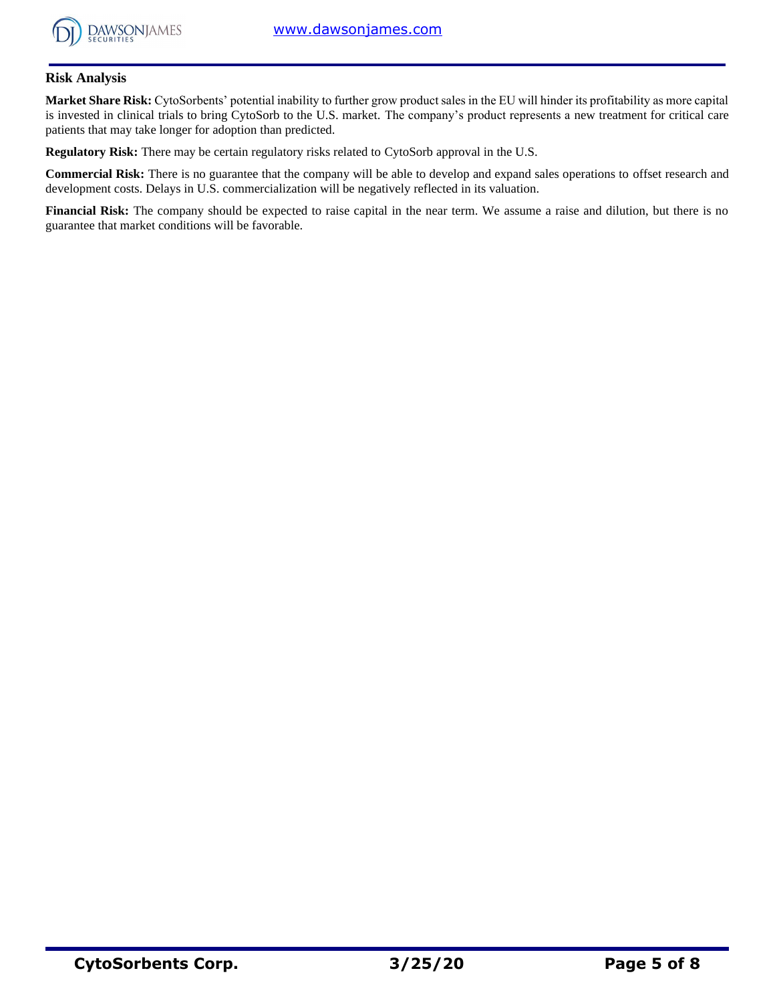

## **Risk Analysis**

**Market Share Risk:** CytoSorbents' potential inability to further grow product sales in the EU will hinder its profitability as more capital is invested in clinical trials to bring CytoSorb to the U.S. market. The company's product represents a new treatment for critical care patients that may take longer for adoption than predicted.

**Regulatory Risk:** There may be certain regulatory risks related to CytoSorb approval in the U.S.

**Commercial Risk:** There is no guarantee that the company will be able to develop and expand sales operations to offset research and development costs. Delays in U.S. commercialization will be negatively reflected in its valuation.

**Financial Risk:** The company should be expected to raise capital in the near term. We assume a raise and dilution, but there is no guarantee that market conditions will be favorable.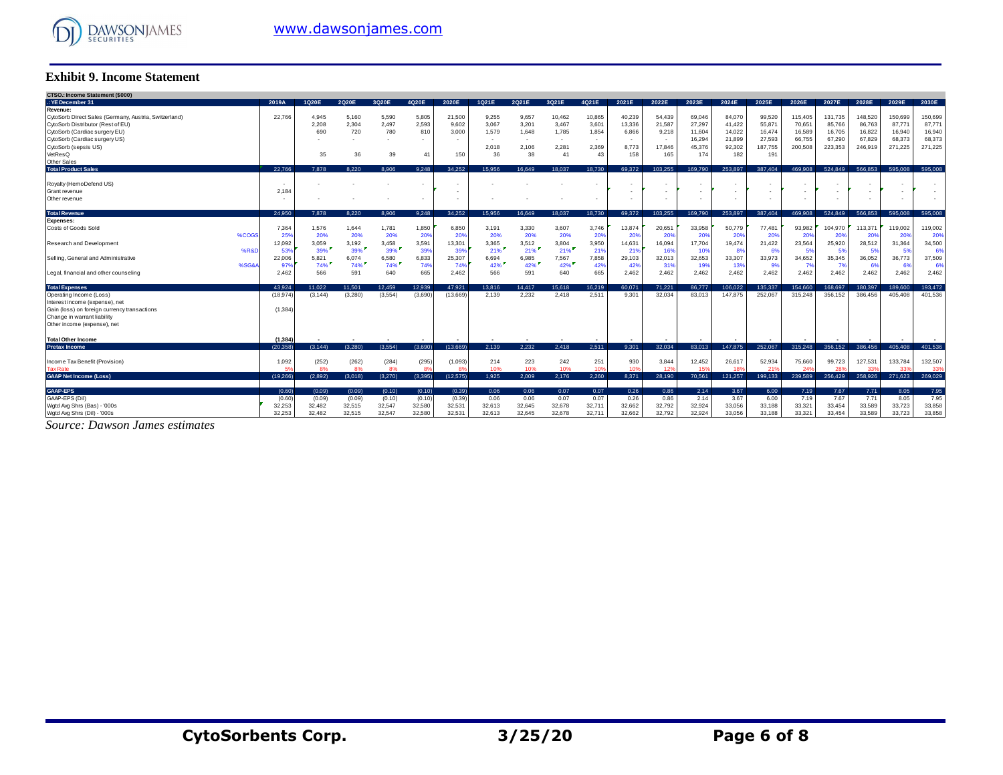

### **Exhibit 9. Income Statement**

| CTSO.: Income Statement (\$000)<br>.: YE December 31<br>3Q21E<br>2019A<br>1Q20E<br>2Q20E<br>3Q20E<br>4Q20E<br>2020E<br>1Q21E<br>2Q21E<br>4Q21E<br>2021E<br>2022E<br>2023E<br>2024E<br>2025E<br>2026E<br>2027E<br>2028E<br>2029E<br>Revenue:<br>4.945<br>5,160<br>5,590<br>5,805<br>21,500<br>10,462<br>10,865<br>40,239<br>54,439<br>115,405<br>131,735<br>148,520<br>150,699<br>CytoSorb Direct Sales (Germany, Austria, Switzerland)<br>22,766<br>9,255<br>9,657<br>69,046<br>84,070<br>99,520<br>CytoSorb Distributor (Rest of EU)<br>2,304<br>2,497<br>2,593<br>21,587<br>87,771<br>2,208<br>9,602<br>3,067<br>3,20'<br>3,467<br>3,601<br>13,336<br>27,297<br>41,422<br>55,87<br>70,651<br>85,766<br>86,763<br>87,771<br>CytoSorb (Cardiac surgery EU)<br>690<br>780<br>720<br>810<br>3.000<br>1.579<br>1,648<br>1,785<br>1,854<br>6,866<br>9,218<br>11,604<br>14.022<br>16,589<br>16,705<br>16,822<br>16,474<br>16,940<br>CytoSorb (Cardiac surgery US)<br>16,294<br>21,899<br>27,593<br>67,290<br>67,829<br>66,755<br>68,373<br>$\overline{\phantom{a}}$<br>$\sim$<br>. .<br>$\sim$<br>٠<br>٠<br>CytoSorb (sepsis US)<br>17,846<br>45,376<br>92.302<br>200,508<br>223,353<br>246.919<br>2.018<br>2,106<br>2,281<br>2,369<br>8,773<br>187,755<br>271,225<br>VetResQ<br>35<br>39<br>150<br>38<br>158<br>165<br>174<br>182<br>191<br>36<br>36<br>43<br>41<br>41<br>Other Sales<br>595.008<br><b>Total Product Sales</b><br>22.766<br>8.220<br>8.906<br>9.248<br>34.252<br>15.956<br>16.649<br>18.037<br>69.372<br>103.255<br>169.790<br>253.897<br>387.404<br>469.908<br>524.849<br>566.853<br>7.878<br>18.730<br>Royalty (HemoDefend US)<br>٠.<br>2.184<br>Grant revenue<br>Other revenue<br>$\sim$<br>٠<br>٠ | <b>Exhibit 9. Income Statement</b> |  |  |  |  |  |  |  |  |  |              |
|-------------------------------------------------------------------------------------------------------------------------------------------------------------------------------------------------------------------------------------------------------------------------------------------------------------------------------------------------------------------------------------------------------------------------------------------------------------------------------------------------------------------------------------------------------------------------------------------------------------------------------------------------------------------------------------------------------------------------------------------------------------------------------------------------------------------------------------------------------------------------------------------------------------------------------------------------------------------------------------------------------------------------------------------------------------------------------------------------------------------------------------------------------------------------------------------------------------------------------------------------------------------------------------------------------------------------------------------------------------------------------------------------------------------------------------------------------------------------------------------------------------------------------------------------------------------------------------------------------------------------------------------------------------------------------------------------------------------|------------------------------------|--|--|--|--|--|--|--|--|--|--------------|
|                                                                                                                                                                                                                                                                                                                                                                                                                                                                                                                                                                                                                                                                                                                                                                                                                                                                                                                                                                                                                                                                                                                                                                                                                                                                                                                                                                                                                                                                                                                                                                                                                                                                                                                   |                                    |  |  |  |  |  |  |  |  |  |              |
|                                                                                                                                                                                                                                                                                                                                                                                                                                                                                                                                                                                                                                                                                                                                                                                                                                                                                                                                                                                                                                                                                                                                                                                                                                                                                                                                                                                                                                                                                                                                                                                                                                                                                                                   |                                    |  |  |  |  |  |  |  |  |  | 2030E        |
|                                                                                                                                                                                                                                                                                                                                                                                                                                                                                                                                                                                                                                                                                                                                                                                                                                                                                                                                                                                                                                                                                                                                                                                                                                                                                                                                                                                                                                                                                                                                                                                                                                                                                                                   |                                    |  |  |  |  |  |  |  |  |  |              |
|                                                                                                                                                                                                                                                                                                                                                                                                                                                                                                                                                                                                                                                                                                                                                                                                                                                                                                                                                                                                                                                                                                                                                                                                                                                                                                                                                                                                                                                                                                                                                                                                                                                                                                                   |                                    |  |  |  |  |  |  |  |  |  | 150,699      |
|                                                                                                                                                                                                                                                                                                                                                                                                                                                                                                                                                                                                                                                                                                                                                                                                                                                                                                                                                                                                                                                                                                                                                                                                                                                                                                                                                                                                                                                                                                                                                                                                                                                                                                                   |                                    |  |  |  |  |  |  |  |  |  | 16,940       |
|                                                                                                                                                                                                                                                                                                                                                                                                                                                                                                                                                                                                                                                                                                                                                                                                                                                                                                                                                                                                                                                                                                                                                                                                                                                                                                                                                                                                                                                                                                                                                                                                                                                                                                                   |                                    |  |  |  |  |  |  |  |  |  | 68,373       |
|                                                                                                                                                                                                                                                                                                                                                                                                                                                                                                                                                                                                                                                                                                                                                                                                                                                                                                                                                                                                                                                                                                                                                                                                                                                                                                                                                                                                                                                                                                                                                                                                                                                                                                                   |                                    |  |  |  |  |  |  |  |  |  | 271,225      |
|                                                                                                                                                                                                                                                                                                                                                                                                                                                                                                                                                                                                                                                                                                                                                                                                                                                                                                                                                                                                                                                                                                                                                                                                                                                                                                                                                                                                                                                                                                                                                                                                                                                                                                                   |                                    |  |  |  |  |  |  |  |  |  |              |
|                                                                                                                                                                                                                                                                                                                                                                                                                                                                                                                                                                                                                                                                                                                                                                                                                                                                                                                                                                                                                                                                                                                                                                                                                                                                                                                                                                                                                                                                                                                                                                                                                                                                                                                   |                                    |  |  |  |  |  |  |  |  |  |              |
|                                                                                                                                                                                                                                                                                                                                                                                                                                                                                                                                                                                                                                                                                                                                                                                                                                                                                                                                                                                                                                                                                                                                                                                                                                                                                                                                                                                                                                                                                                                                                                                                                                                                                                                   |                                    |  |  |  |  |  |  |  |  |  | 595,008      |
|                                                                                                                                                                                                                                                                                                                                                                                                                                                                                                                                                                                                                                                                                                                                                                                                                                                                                                                                                                                                                                                                                                                                                                                                                                                                                                                                                                                                                                                                                                                                                                                                                                                                                                                   |                                    |  |  |  |  |  |  |  |  |  |              |
|                                                                                                                                                                                                                                                                                                                                                                                                                                                                                                                                                                                                                                                                                                                                                                                                                                                                                                                                                                                                                                                                                                                                                                                                                                                                                                                                                                                                                                                                                                                                                                                                                                                                                                                   |                                    |  |  |  |  |  |  |  |  |  |              |
|                                                                                                                                                                                                                                                                                                                                                                                                                                                                                                                                                                                                                                                                                                                                                                                                                                                                                                                                                                                                                                                                                                                                                                                                                                                                                                                                                                                                                                                                                                                                                                                                                                                                                                                   |                                    |  |  |  |  |  |  |  |  |  |              |
| 24.950<br>8.220<br>8.906<br>34.252<br>15.956<br>16.649<br>69.372<br>103.255<br>169,790<br>253.897<br>387.404<br>469.908<br>524.849<br>566.853<br>595,008                                                                                                                                                                                                                                                                                                                                                                                                                                                                                                                                                                                                                                                                                                                                                                                                                                                                                                                                                                                                                                                                                                                                                                                                                                                                                                                                                                                                                                                                                                                                                          |                                    |  |  |  |  |  |  |  |  |  | 595,008      |
| <b>Total Revenue</b><br>9,248<br>7.878<br>18.037<br>18,730<br><b>Expenses:</b>                                                                                                                                                                                                                                                                                                                                                                                                                                                                                                                                                                                                                                                                                                                                                                                                                                                                                                                                                                                                                                                                                                                                                                                                                                                                                                                                                                                                                                                                                                                                                                                                                                    |                                    |  |  |  |  |  |  |  |  |  |              |
| 119,002<br>Costs of Goods Sold<br>7,364<br>1,576<br>1.644<br>1,781<br>1,850<br>6,850<br>3,191<br>3,330<br>3,607<br>3.746<br>13,874<br>20,651<br>33,958<br>50.779<br>77,481<br>93,982<br>104,970<br>113,371                                                                                                                                                                                                                                                                                                                                                                                                                                                                                                                                                                                                                                                                                                                                                                                                                                                                                                                                                                                                                                                                                                                                                                                                                                                                                                                                                                                                                                                                                                        |                                    |  |  |  |  |  |  |  |  |  | 119,002      |
| %COG<br>25%<br>20%<br>20%<br>20%<br>20%<br>20%<br>20%<br>20%<br>20%<br>20%<br>20%<br>20%<br>20%<br>20%<br>20%<br>20%<br>20%<br>20%<br>20%                                                                                                                                                                                                                                                                                                                                                                                                                                                                                                                                                                                                                                                                                                                                                                                                                                                                                                                                                                                                                                                                                                                                                                                                                                                                                                                                                                                                                                                                                                                                                                         |                                    |  |  |  |  |  |  |  |  |  | 20%          |
| 12,092<br>3,059<br>3,458<br>3,591<br>13,301<br>3,804<br>3,950<br>16,094<br>17,704<br>19,474<br>21,422<br>23,564<br>25,920<br>28,512<br>Research and Development<br>3,192<br>3,365<br>3,512<br>14,631<br>31,364                                                                                                                                                                                                                                                                                                                                                                                                                                                                                                                                                                                                                                                                                                                                                                                                                                                                                                                                                                                                                                                                                                                                                                                                                                                                                                                                                                                                                                                                                                    |                                    |  |  |  |  |  |  |  |  |  | 34,500       |
| $21\%$<br>39%<br>21%<br>21%<br>39%<br>39%<br>39%<br>16%<br>10%<br>%R&<br>53%<br>39%<br>219<br>21%<br>8%<br>63<br>- 5%<br>-5%<br>5%<br>53                                                                                                                                                                                                                                                                                                                                                                                                                                                                                                                                                                                                                                                                                                                                                                                                                                                                                                                                                                                                                                                                                                                                                                                                                                                                                                                                                                                                                                                                                                                                                                          |                                    |  |  |  |  |  |  |  |  |  | 6%           |
| 5,821<br>6,833<br>25,307<br>7,567<br>32,653<br>33,307<br>33,973<br>34,652<br>36,052<br>36,773<br>Selling, General and Administrative<br>22,006<br>6,580<br>6,694<br>6,985<br>7,858<br>29,103<br>32,013<br>35,345<br>6,074                                                                                                                                                                                                                                                                                                                                                                                                                                                                                                                                                                                                                                                                                                                                                                                                                                                                                                                                                                                                                                                                                                                                                                                                                                                                                                                                                                                                                                                                                         |                                    |  |  |  |  |  |  |  |  |  | 37,509       |
| 42%<br>42%<br>%SG&<br>42%<br>74%<br>74%<br>74%<br>42%<br>42%<br>319<br>19%<br>13%<br>97<br>74%<br>74%<br>9%<br>6%<br>- 7%<br>665<br>2,462<br>566<br>665<br>2,462<br>2,462<br>2,462<br>2.462<br>2,462<br>2,462<br>566<br>591<br>640<br>591<br>2,462<br>2.462<br>2.462<br>2.462<br>640<br>Legal, financial and other counseling                                                                                                                                                                                                                                                                                                                                                                                                                                                                                                                                                                                                                                                                                                                                                                                                                                                                                                                                                                                                                                                                                                                                                                                                                                                                                                                                                                                     |                                    |  |  |  |  |  |  |  |  |  | 6%<br>2,462  |
|                                                                                                                                                                                                                                                                                                                                                                                                                                                                                                                                                                                                                                                                                                                                                                                                                                                                                                                                                                                                                                                                                                                                                                                                                                                                                                                                                                                                                                                                                                                                                                                                                                                                                                                   |                                    |  |  |  |  |  |  |  |  |  |              |
| 12.459<br>12.939<br>71.221<br>106.022<br>135,337<br>154.660<br>168.697<br><b>Total Expenses</b><br>43.924<br>11.022<br>11.501<br>47.921<br>13.816<br>14.417<br>15.618<br>16.219<br>60.071<br>86,777<br>180.397<br>189,600                                                                                                                                                                                                                                                                                                                                                                                                                                                                                                                                                                                                                                                                                                                                                                                                                                                                                                                                                                                                                                                                                                                                                                                                                                                                                                                                                                                                                                                                                         |                                    |  |  |  |  |  |  |  |  |  | 193.472      |
| (13.669)<br>2,232<br>147.875<br>315.248<br>386.456<br>(3,280)<br>(3,554)<br>(3.690)<br>2.139<br>2.418<br>2.511<br>9.301<br>32.034<br>83.013<br>252.067<br>356.152<br>405.408<br>Operating Income (Loss)<br>(18, 974)<br>(3.144)                                                                                                                                                                                                                                                                                                                                                                                                                                                                                                                                                                                                                                                                                                                                                                                                                                                                                                                                                                                                                                                                                                                                                                                                                                                                                                                                                                                                                                                                                   |                                    |  |  |  |  |  |  |  |  |  | 401,536      |
| Interest income (expense), net                                                                                                                                                                                                                                                                                                                                                                                                                                                                                                                                                                                                                                                                                                                                                                                                                                                                                                                                                                                                                                                                                                                                                                                                                                                                                                                                                                                                                                                                                                                                                                                                                                                                                    |                                    |  |  |  |  |  |  |  |  |  |              |
| (1, 384)<br>Gain (loss) on foreign currency transactions                                                                                                                                                                                                                                                                                                                                                                                                                                                                                                                                                                                                                                                                                                                                                                                                                                                                                                                                                                                                                                                                                                                                                                                                                                                                                                                                                                                                                                                                                                                                                                                                                                                          |                                    |  |  |  |  |  |  |  |  |  |              |
| Change in warrant liability<br>Other income (expense), net                                                                                                                                                                                                                                                                                                                                                                                                                                                                                                                                                                                                                                                                                                                                                                                                                                                                                                                                                                                                                                                                                                                                                                                                                                                                                                                                                                                                                                                                                                                                                                                                                                                        |                                    |  |  |  |  |  |  |  |  |  |              |
|                                                                                                                                                                                                                                                                                                                                                                                                                                                                                                                                                                                                                                                                                                                                                                                                                                                                                                                                                                                                                                                                                                                                                                                                                                                                                                                                                                                                                                                                                                                                                                                                                                                                                                                   |                                    |  |  |  |  |  |  |  |  |  |              |
| (1.384)<br><b>Total Other Income</b>                                                                                                                                                                                                                                                                                                                                                                                                                                                                                                                                                                                                                                                                                                                                                                                                                                                                                                                                                                                                                                                                                                                                                                                                                                                                                                                                                                                                                                                                                                                                                                                                                                                                              |                                    |  |  |  |  |  |  |  |  |  |              |
| (20.358)<br>(3.554)<br>(3.690)<br>2.139<br>2.232<br>2.418<br>2.511<br>9.301<br>32.034<br>83.013<br>147.875<br>252.067<br>315,248<br>356.152<br>386,456<br>405.408<br>(3.144)<br>(3.280)<br>(13.669)<br><b>Pretax Income</b>                                                                                                                                                                                                                                                                                                                                                                                                                                                                                                                                                                                                                                                                                                                                                                                                                                                                                                                                                                                                                                                                                                                                                                                                                                                                                                                                                                                                                                                                                       |                                    |  |  |  |  |  |  |  |  |  | 401.536      |
| 223<br>133.784<br>Income Tax Benefit (Provision)<br>(262)<br>(284)<br>(295)<br>(1,093)<br>214<br>242<br>251<br>3,844<br>12,452<br>1,092<br>(252)<br>930<br>26,617<br>52,934<br>75,660<br>99,723<br>127,531                                                                                                                                                                                                                                                                                                                                                                                                                                                                                                                                                                                                                                                                                                                                                                                                                                                                                                                                                                                                                                                                                                                                                                                                                                                                                                                                                                                                                                                                                                        |                                    |  |  |  |  |  |  |  |  |  | 132,507      |
| 10%<br>10%<br>10%<br>15%<br><b>Tax Rate</b><br>59<br>8%<br>8%<br>8%<br>$\mathbf{R}$<br>83<br>10%<br>10 <sup>5</sup><br>12 <sup>5</sup><br>18%<br>21 <sup>1</sup><br>28<br>339<br>33                                                                                                                                                                                                                                                                                                                                                                                                                                                                                                                                                                                                                                                                                                                                                                                                                                                                                                                                                                                                                                                                                                                                                                                                                                                                                                                                                                                                                                                                                                                               |                                    |  |  |  |  |  |  |  |  |  | 339          |
| <b>GAAP Net Income (Loss)</b><br>(3, 395)<br>2.260<br>8,371<br>28,190<br>70,561<br>121,257<br>(19, 266)<br>(12, 575)<br>1.925<br>2.009<br>2.176<br>199,133<br>239.589<br>256,429<br>258,926<br>271,623<br>(2.892)<br>(3,018)<br>(3,270)                                                                                                                                                                                                                                                                                                                                                                                                                                                                                                                                                                                                                                                                                                                                                                                                                                                                                                                                                                                                                                                                                                                                                                                                                                                                                                                                                                                                                                                                           |                                    |  |  |  |  |  |  |  |  |  | 269,029      |
|                                                                                                                                                                                                                                                                                                                                                                                                                                                                                                                                                                                                                                                                                                                                                                                                                                                                                                                                                                                                                                                                                                                                                                                                                                                                                                                                                                                                                                                                                                                                                                                                                                                                                                                   |                                    |  |  |  |  |  |  |  |  |  |              |
| <b>GAAP-EPS</b><br>(0.60)<br>(0.09)<br>(0.09)<br>(0.10)<br>(0.10)<br>(0.39)<br>0.06<br>0.06<br>0.07<br>0.07<br>0.26<br>0.86<br>2.14<br>3.67<br>6.00<br>7.19<br>7.67<br>7.71<br>8.05<br>GAAP-EPS (Dil)<br>0.07<br>3.67<br>(0.09)<br>(0.09)<br>(0.10)<br>(0.10)<br>(0.39)<br>0.06<br>0.06<br>0.07<br>0.26<br>0.86<br>2.14<br>6.00<br>7.19<br>7.67<br>7.71<br>8.05<br>(0.60)                                                                                                                                                                                                                                                                                                                                                                                                                                                                                                                                                                                                                                                                                                                                                                                                                                                                                                                                                                                                                                                                                                                                                                                                                                                                                                                                         |                                    |  |  |  |  |  |  |  |  |  | 7.95<br>7.95 |
| 32,253<br>32,515<br>32,547<br>32,580<br>32,531<br>32,678<br>32,711<br>32,662<br>32,792<br>32,924<br>33,056<br>33,188<br>33,321<br>33,589<br>33,723<br>Wgtd Avg Shrs (Bas) - '000s<br>32,482<br>32,613<br>32,645<br>33,454                                                                                                                                                                                                                                                                                                                                                                                                                                                                                                                                                                                                                                                                                                                                                                                                                                                                                                                                                                                                                                                                                                                                                                                                                                                                                                                                                                                                                                                                                         |                                    |  |  |  |  |  |  |  |  |  | 33,858       |
| 32.580<br>32.531<br>32.711<br>33.454<br>33,589<br>Wgtd Avg Shrs (Dil) - '000s<br>32.253<br>32.482<br>32.515<br>32.547<br>32.613<br>32.645<br>32.678<br>32.662<br>32.792<br>32.924<br>33.056<br>33.188<br>33.321<br>33.723                                                                                                                                                                                                                                                                                                                                                                                                                                                                                                                                                                                                                                                                                                                                                                                                                                                                                                                                                                                                                                                                                                                                                                                                                                                                                                                                                                                                                                                                                         |                                    |  |  |  |  |  |  |  |  |  | 33.858       |

*Source: Dawson James estimates*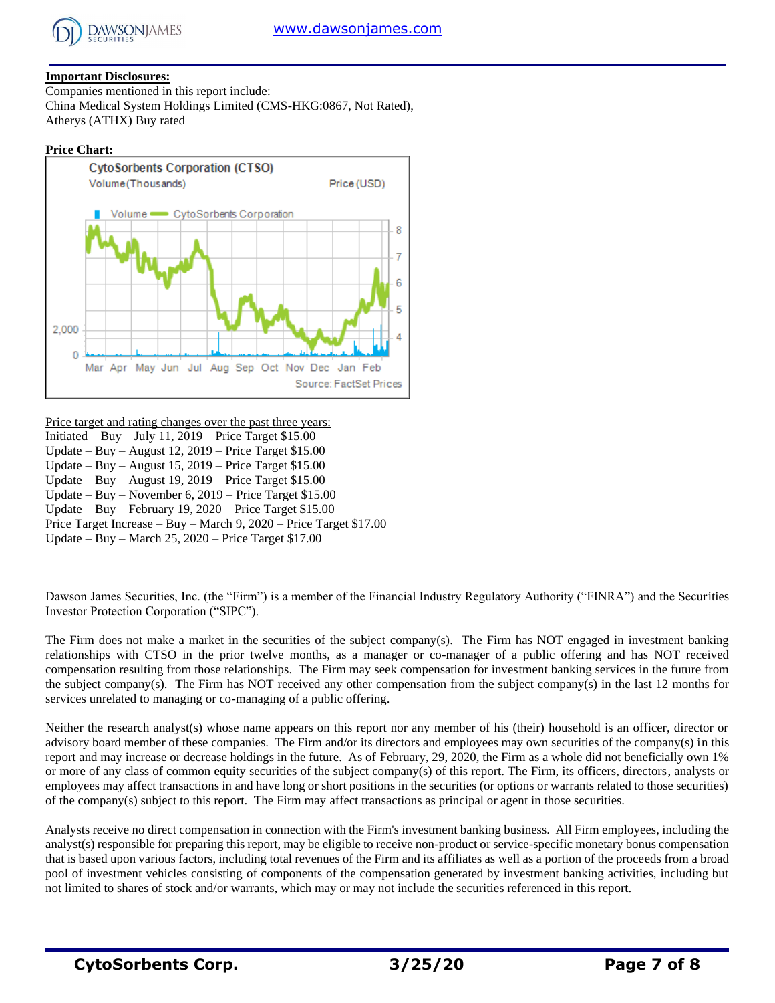

## **Important Disclosures:**

Companies mentioned in this report include: China Medical System Holdings Limited (CMS-HKG:0867, Not Rated), Atherys (ATHX) Buy rated

## **Price Chart:**



Price target and rating changes over the past three years: Initiated – Buy – July 11, 2019 – Price Target \$15.00 Update – Buy – August 12, 2019 – Price Target \$15.00 Update – Buy – August 15, 2019 – Price Target \$15.00

Update – Buy – August 19, 2019 – Price Target \$15.00

Update – Buy – November 6, 2019 – Price Target \$15.00

Update – Buy – February 19, 2020 – Price Target \$15.00

Price Target Increase – Buy – March 9, 2020 – Price Target \$17.00

Update – Buy – March 25, 2020 – Price Target \$17.00

Dawson James Securities, Inc. (the "Firm") is a member of the Financial Industry Regulatory Authority ("FINRA") and the Securities Investor Protection Corporation ("SIPC").

The Firm does not make a market in the securities of the subject company(s). The Firm has NOT engaged in investment banking relationships with CTSO in the prior twelve months, as a manager or co-manager of a public offering and has NOT received compensation resulting from those relationships. The Firm may seek compensation for investment banking services in the future from the subject company(s). The Firm has NOT received any other compensation from the subject company(s) in the last 12 months for services unrelated to managing or co-managing of a public offering.

Neither the research analyst(s) whose name appears on this report nor any member of his (their) household is an officer, director or advisory board member of these companies. The Firm and/or its directors and employees may own securities of the company(s) in this report and may increase or decrease holdings in the future. As of February, 29, 2020, the Firm as a whole did not beneficially own 1% or more of any class of common equity securities of the subject company(s) of this report. The Firm, its officers, directors, analysts or employees may affect transactions in and have long or short positions in the securities (or options or warrants related to those securities) of the company(s) subject to this report. The Firm may affect transactions as principal or agent in those securities.

Analysts receive no direct compensation in connection with the Firm's investment banking business. All Firm employees, including the analyst(s) responsible for preparing this report, may be eligible to receive non-product or service-specific monetary bonus compensation that is based upon various factors, including total revenues of the Firm and its affiliates as well as a portion of the proceeds from a broad pool of investment vehicles consisting of components of the compensation generated by investment banking activities, including but not limited to shares of stock and/or warrants, which may or may not include the securities referenced in this report.